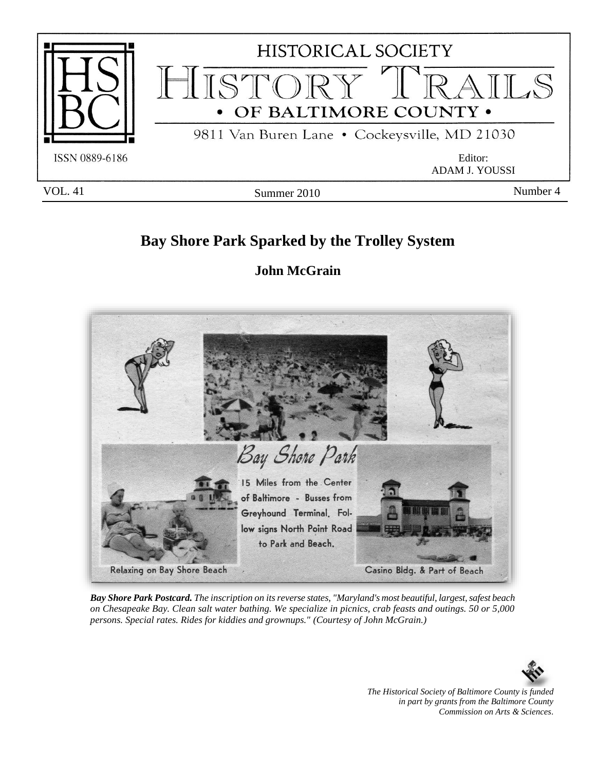

# **Bay Shore Park Sparked by the Trolley System**

# **John McGrain**



*Bay Shore Park Postcard. The inscription on its reverse states, "Maryland's most beautiful, largest, safest beach on Chesapeake Bay. Clean salt water bathing. We specialize in picnics, crab feasts and outings. 50 or 5,000 persons. Special rates. Rides for kiddies and grownups." (Courtesy of John McGrain.)*



*The Historical Society of Baltimore County is funded in part by grants from the Baltimore County Commission on Arts & Sciences*.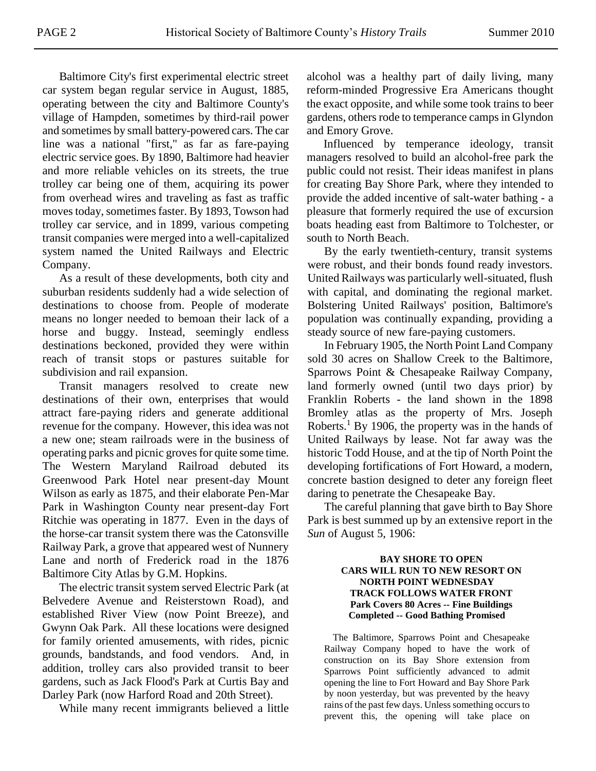Baltimore City's first experimental electric street car system began regular service in August, 1885, operating between the city and Baltimore County's village of Hampden, sometimes by third-rail power and sometimes by small battery-powered cars. The car line was a national "first," as far as fare-paying electric service goes. By 1890, Baltimore had heavier and more reliable vehicles on its streets, the true trolley car being one of them, acquiring its power from overhead wires and traveling as fast as traffic moves today, sometimes faster. By 1893, Towson had trolley car service, and in 1899, various competing transit companies were merged into a well-capitalized system named the United Railways and Electric Company.

As a result of these developments, both city and suburban residents suddenly had a wide selection of destinations to choose from. People of moderate means no longer needed to bemoan their lack of a horse and buggy. Instead, seemingly endless destinations beckoned, provided they were within reach of transit stops or pastures suitable for subdivision and rail expansion.

Transit managers resolved to create new destinations of their own, enterprises that would attract fare-paying riders and generate additional revenue for the company. However, this idea was not a new one; steam railroads were in the business of operating parks and picnic groves for quite some time. The Western Maryland Railroad debuted its Greenwood Park Hotel near present-day Mount Wilson as early as 1875, and their elaborate Pen-Mar Park in Washington County near present-day Fort Ritchie was operating in 1877. Even in the days of the horse-car transit system there was the Catonsville Railway Park, a grove that appeared west of Nunnery Lane and north of Frederick road in the 1876 Baltimore City Atlas by G.M. Hopkins.

The electric transit system served Electric Park (at Belvedere Avenue and Reisterstown Road), and established River View (now Point Breeze), and Gwynn Oak Park. All these locations were designed for family oriented amusements, with rides, picnic grounds, bandstands, and food vendors. And, in addition, trolley cars also provided transit to beer gardens, such as Jack Flood's Park at Curtis Bay and Darley Park (now Harford Road and 20th Street).

While many recent immigrants believed a little

alcohol was a healthy part of daily living, many reform-minded Progressive Era Americans thought the exact opposite, and while some took trains to beer gardens, others rode to temperance camps in Glyndon and Emory Grove.

Influenced by temperance ideology, transit managers resolved to build an alcohol-free park the public could not resist. Their ideas manifest in plans for creating Bay Shore Park, where they intended to provide the added incentive of salt-water bathing - a pleasure that formerly required the use of excursion boats heading east from Baltimore to Tolchester, or south to North Beach.

By the early twentieth-century, transit systems were robust, and their bonds found ready investors. United Railways was particularly well-situated, flush with capital, and dominating the regional market. Bolstering United Railways' position, Baltimore's population was continually expanding, providing a steady source of new fare-paying customers.

In February 1905, the North Point Land Company sold 30 acres on Shallow Creek to the Baltimore, Sparrows Point & Chesapeake Railway Company, land formerly owned (until two days prior) by Franklin Roberts - the land shown in the 1898 Bromley atlas as the property of Mrs. Joseph Roberts.<sup>1</sup> By 1906, the property was in the hands of United Railways by lease. Not far away was the historic Todd House, and at the tip of North Point the developing fortifications of Fort Howard, a modern, concrete bastion designed to deter any foreign fleet daring to penetrate the Chesapeake Bay.

The careful planning that gave birth to Bay Shore Park is best summed up by an extensive report in the *Sun* of August 5, 1906:

## **BAY SHORE TO OPEN CARS WILL RUN TO NEW RESORT ON NORTH POINT WEDNESDAY TRACK FOLLOWS WATER FRONT Park Covers 80 Acres -- Fine Buildings Completed -- Good Bathing Promised**

The Baltimore, Sparrows Point and Chesapeake Railway Company hoped to have the work of construction on its Bay Shore extension from Sparrows Point sufficiently advanced to admit opening the line to Fort Howard and Bay Shore Park by noon yesterday, but was prevented by the heavy rains of the past few days. Unless something occurs to prevent this, the opening will take place on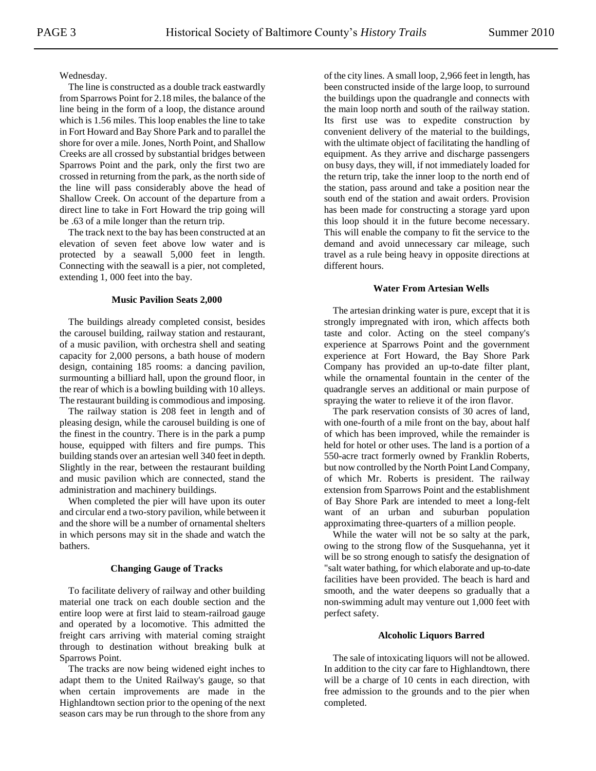## Wednesday.

The line is constructed as a double track eastwardly from Sparrows Point for 2.18 miles, the balance of the line being in the form of a loop, the distance around which is 1.56 miles. This loop enables the line to take in Fort Howard and Bay Shore Park and to parallel the shore for over a mile. Jones, North Point, and Shallow Creeks are all crossed by substantial bridges between Sparrows Point and the park, only the first two are crossed in returning from the park, as the north side of the line will pass considerably above the head of Shallow Creek. On account of the departure from a direct line to take in Fort Howard the trip going will be .63 of a mile longer than the return trip.

The track next to the bay has been constructed at an elevation of seven feet above low water and is protected by a seawall 5,000 feet in length. Connecting with the seawall is a pier, not completed, extending 1, 000 feet into the bay.

#### **Music Pavilion Seats 2,000**

The buildings already completed consist, besides the carousel building, railway station and restaurant, of a music pavilion, with orchestra shell and seating capacity for 2,000 persons, a bath house of modern design, containing 185 rooms: a dancing pavilion, surmounting a billiard hall, upon the ground floor, in the rear of which is a bowling building with 10 alleys. The restaurant building is commodious and imposing.

The railway station is 208 feet in length and of pleasing design, while the carousel building is one of the finest in the country. There is in the park a pump house, equipped with filters and fire pumps. This building stands over an artesian well 340 feet in depth. Slightly in the rear, between the restaurant building and music pavilion which are connected, stand the administration and machinery buildings.

When completed the pier will have upon its outer and circular end a two-story pavilion, while between it and the shore will be a number of ornamental shelters in which persons may sit in the shade and watch the bathers.

#### **Changing Gauge of Tracks**

To facilitate delivery of railway and other building material one track on each double section and the entire loop were at first laid to steam-railroad gauge and operated by a locomotive. This admitted the freight cars arriving with material coming straight through to destination without breaking bulk at Sparrows Point.

The tracks are now being widened eight inches to adapt them to the United Railway's gauge, so that when certain improvements are made in the Highlandtown section prior to the opening of the next season cars may be run through to the shore from any of the city lines. A small loop, 2,966 feet in length, has been constructed inside of the large loop, to surround the buildings upon the quadrangle and connects with the main loop north and south of the railway station. Its first use was to expedite construction by convenient delivery of the material to the buildings, with the ultimate object of facilitating the handling of equipment. As they arrive and discharge passengers on busy days, they will, if not immediately loaded for the return trip, take the inner loop to the north end of the station, pass around and take a position near the south end of the station and await orders. Provision has been made for constructing a storage yard upon this loop should it in the future become necessary. This will enable the company to fit the service to the demand and avoid unnecessary car mileage, such travel as a rule being heavy in opposite directions at different hours.

## **Water From Artesian Wells**

The artesian drinking water is pure, except that it is strongly impregnated with iron, which affects both taste and color. Acting on the steel company's experience at Sparrows Point and the government experience at Fort Howard, the Bay Shore Park Company has provided an up-to-date filter plant, while the ornamental fountain in the center of the quadrangle serves an additional or main purpose of spraying the water to relieve it of the iron flavor.

The park reservation consists of 30 acres of land, with one-fourth of a mile front on the bay, about half of which has been improved, while the remainder is held for hotel or other uses. The land is a portion of a 550-acre tract formerly owned by Franklin Roberts, but now controlled by the North Point Land Company, of which Mr. Roberts is president. The railway extension from Sparrows Point and the establishment of Bay Shore Park are intended to meet a long-felt want of an urban and suburban population approximating three-quarters of a million people.

While the water will not be so salty at the park, owing to the strong flow of the Susquehanna, yet it will be so strong enough to satisfy the designation of "salt water bathing, for which elaborate and up-to-date facilities have been provided. The beach is hard and smooth, and the water deepens so gradually that a non-swimming adult may venture out 1,000 feet with perfect safety.

#### **Alcoholic Liquors Barred**

The sale of intoxicating liquors will not be allowed. In addition to the city car fare to Highlandtown, there will be a charge of 10 cents in each direction, with free admission to the grounds and to the pier when completed.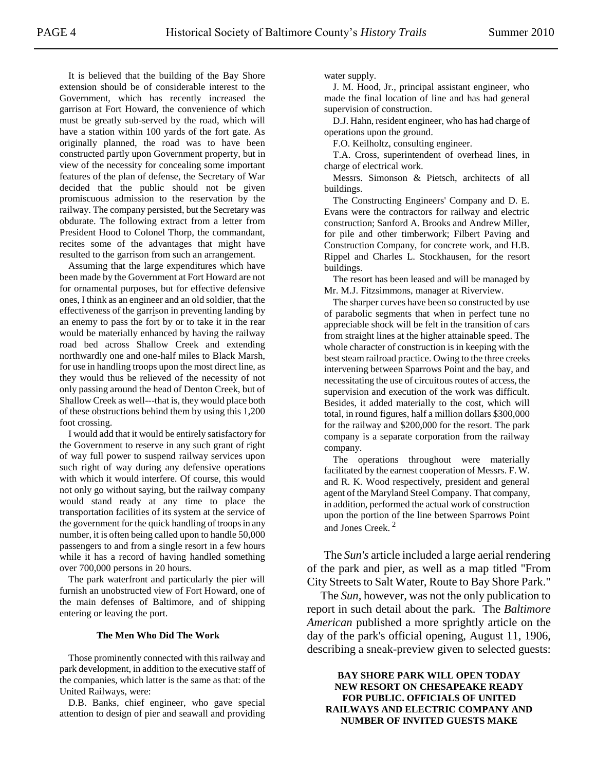It is believed that the building of the Bay Shore extension should be of considerable interest to the Government, which has recently increased the garrison at Fort Howard, the convenience of which must be greatly sub-served by the road, which will have a station within 100 yards of the fort gate. As originally planned, the road was to have been constructed partly upon Government property, but in view of the necessity for concealing some important features of the plan of defense, the Secretary of War decided that the public should not be given promiscuous admission to the reservation by the railway. The company persisted, but the Secretary was obdurate. The following extract from a letter from President Hood to Colonel Thorp, the commandant, recites some of the advantages that might have resulted to the garrison from such an arrangement.

Assuming that the large expenditures which have been made by the Government at Fort Howard are not for ornamental purposes, but for effective defensive ones, I think as an engineer and an old soldier, that the effectiveness of the garrison in preventing landing by an enemy to pass the fort by or to take it in the rear would be materially enhanced by having the railway road bed across Shallow Creek and extending northwardly one and one-half miles to Black Marsh, for use in handling troops upon the most direct line, as they would thus be relieved of the necessity of not only passing around the head of Denton Creek, but of Shallow Creek as well---that is, they would place both of these obstructions behind them by using this 1,200 foot crossing.

I would add that it would be entirely satisfactory for the Government to reserve in any such grant of right of way full power to suspend railway services upon such right of way during any defensive operations with which it would interfere. Of course, this would not only go without saying, but the railway company would stand ready at any time to place the transportation facilities of its system at the service of the government for the quick handling of troops in any number, it is often being called upon to handle 50,000 passengers to and from a single resort in a few hours while it has a record of having handled something over 700,000 persons in 20 hours.

The park waterfront and particularly the pier will furnish an unobstructed view of Fort Howard, one of the main defenses of Baltimore, and of shipping entering or leaving the port.

#### **The Men Who Did The Work**

Those prominently connected with this railway and park development, in addition to the executive staff of the companies, which latter is the same as that: of the United Railways, were:

D.B. Banks, chief engineer, who gave special attention to design of pier and seawall and providing water supply.

J. M. Hood, Jr., principal assistant engineer, who made the final location of line and has had general supervision of construction.

D.J. Hahn, resident engineer, who has had charge of operations upon the ground.

F.O. Keilholtz, consulting engineer.

T.A. Cross, superintendent of overhead lines, in charge of electrical work.

Messrs. Simonson & Pietsch, architects of all buildings.

The Constructing Engineers' Company and D. E. Evans were the contractors for railway and electric construction; Sanford A. Brooks and Andrew Miller, for pile and other timberwork; Filbert Paving and Construction Company, for concrete work, and H.B. Rippel and Charles L. Stockhausen, for the resort buildings.

The resort has been leased and will be managed by Mr. M.J. Fitzsimmons, manager at Riverview.

The sharper curves have been so constructed by use of parabolic segments that when in perfect tune no appreciable shock will be felt in the transition of cars from straight lines at the higher attainable speed. The whole character of construction is in keeping with the best steam railroad practice. Owing to the three creeks intervening between Sparrows Point and the bay, and necessitating the use of circuitous routes of access, the supervision and execution of the work was difficult. Besides, it added materially to the cost, which will total, in round figures, half a million dollars \$300,000 for the railway and \$200,000 for the resort. The park company is a separate corporation from the railway company.

The operations throughout were materially facilitated by the earnest cooperation of Messrs. F. W. and R. K. Wood respectively, president and general agent of the Maryland Steel Company. That company, in addition, performed the actual work of construction upon the portion of the line between Sparrows Point and Jones Creek. <sup>2</sup>

The *Sun's* article included a large aerial rendering of the park and pier, as well as a map titled "From City Streets to Salt Water, Route to Bay Shore Park."

The *Sun,* however*,* was not the only publication to report in such detail about the park. The *Baltimore American* published a more sprightly article on the day of the park's official opening, August 11, 1906, describing a sneak-preview given to selected guests:

**BAY SHORE PARK WILL OPEN TODAY NEW RESORT ON CHESAPEAKE READY FOR PUBLIC. OFFICIALS OF UNITED RAILWAYS AND ELECTRIC COMPANY AND NUMBER OF INVITED GUESTS MAKE**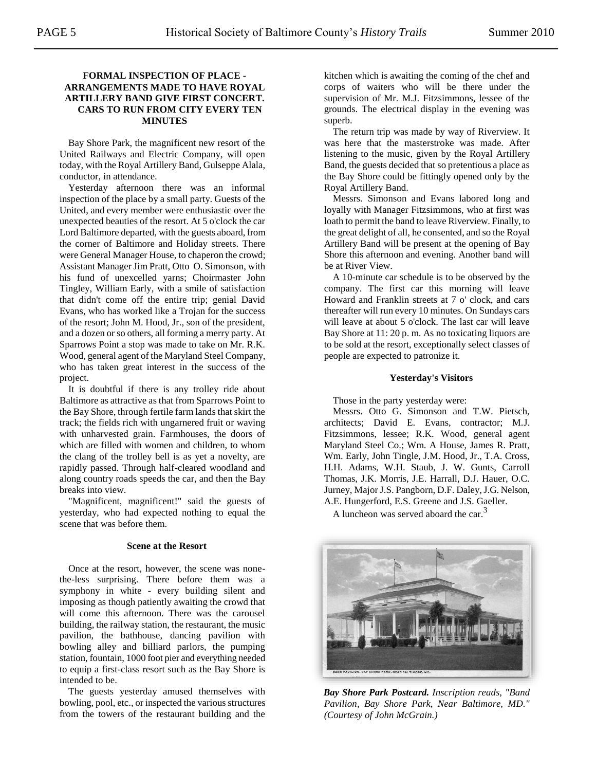## **FORMAL INSPECTION OF PLACE - ARRANGEMENTS MADE TO HAVE ROYAL ARTILLERY BAND GIVE FIRST CONCERT. CARS TO RUN FROM CITY EVERY TEN MINUTES**

Bay Shore Park, the magnificent new resort of the United Railways and Electric Company, will open today, with the Royal Artillery Band, Gulseppe Alala, conductor, in attendance.

Yesterday afternoon there was an informal inspection of the place by a small party. Guests of the United, and every member were enthusiastic over the unexpected beauties of the resort. At 5 o'clock the car Lord Baltimore departed, with the guests aboard, from the corner of Baltimore and Holiday streets. There were General Manager House, to chaperon the crowd; Assistant Manager Jim Pratt, Otto O. Simonson, with his fund of unexcelled yarns; Choirmaster John Tingley, William Early, with a smile of satisfaction that didn't come off the entire trip; genial David Evans, who has worked like a Trojan for the success of the resort; John M. Hood, Jr., son of the president, and a dozen or so others, all forming a merry party. At Sparrows Point a stop was made to take on Mr. R.K. Wood, general agent of the Maryland Steel Company, who has taken great interest in the success of the project.

It is doubtful if there is any trolley ride about Baltimore as attractive as that from Sparrows Point to the Bay Shore, through fertile farm lands that skirt the track; the fields rich with ungarnered fruit or waving with unharvested grain. Farmhouses, the doors of which are filled with women and children, to whom the clang of the trolley bell is as yet a novelty, are rapidly passed. Through half-cleared woodland and along country roads speeds the car, and then the Bay breaks into view.

"Magnificent, magnificent!" said the guests of yesterday, who had expected nothing to equal the scene that was before them.

## **Scene at the Resort**

Once at the resort, however, the scene was nonethe-less surprising. There before them was a symphony in white - every building silent and imposing as though patiently awaiting the crowd that will come this afternoon. There was the carousel building, the railway station, the restaurant, the music pavilion, the bathhouse, dancing pavilion with bowling alley and billiard parlors, the pumping station, fountain, 1000 foot pier and everything needed to equip a first-class resort such as the Bay Shore is intended to be.

The guests yesterday amused themselves with bowling, pool, etc., or inspected the various structures from the towers of the restaurant building and the

kitchen which is awaiting the coming of the chef and corps of waiters who will be there under the supervision of Mr. M.J. Fitzsimmons, lessee of the grounds. The electrical display in the evening was superb.

The return trip was made by way of Riverview. It was here that the masterstroke was made. After listening to the music, given by the Royal Artillery Band, the guests decided that so pretentious a place as the Bay Shore could be fittingly opened only by the Royal Artillery Band.

Messrs. Simonson and Evans labored long and loyally with Manager Fitzsimmons, who at first was loath to permit the band to leave Riverview. Finally, to the great delight of all, he consented, and so the Royal Artillery Band will be present at the opening of Bay Shore this afternoon and evening. Another band will be at River View.

A 10-minute car schedule is to be observed by the company. The first car this morning will leave Howard and Franklin streets at 7 o' clock, and cars thereafter will run every 10 minutes. On Sundays cars will leave at about 5 o'clock. The last car will leave Bay Shore at 11: 20 p. m. As no toxicating liquors are to be sold at the resort, exceptionally select classes of people are expected to patronize it.

#### **Yesterday's Visitors**

Those in the party yesterday were:

Messrs. Otto G. Simonson and T.W. Pietsch, architects; David E. Evans, contractor; M.J. Fitzsimmons, lessee; R.K. Wood, general agent Maryland Steel Co.; Wm. A House, James R. Pratt, Wm. Early, John Tingle, J.M. Hood, Jr., T.A. Cross, H.H. Adams, W.H. Staub, J. W. Gunts, Carroll Thomas, J.K. Morris, J.E. Harrall, D.J. Hauer, O.C. Jurney, Major J.S. Pangborn, D.F. Daley, J.G. Nelson, A.E. Hungerford, E.S. Greene and J.S. Gaeller.

A luncheon was served aboard the car.<sup>3</sup>



*Bay Shore Park Postcard. Inscription reads, "Band Pavilion, Bay Shore Park, Near Baltimore, MD." (Courtesy of John McGrain.)*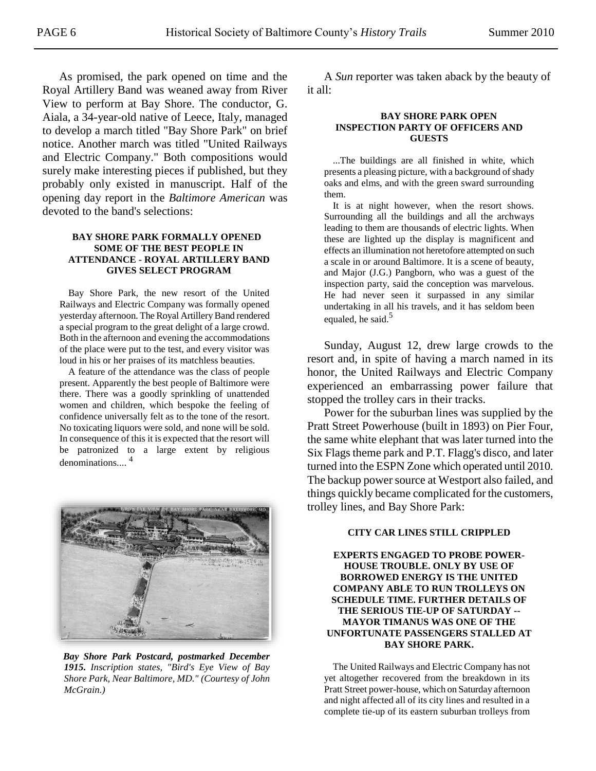As promised, the park opened on time and the Royal Artillery Band was weaned away from River View to perform at Bay Shore. The conductor, G. Aiala, a 34-year-old native of Leece, Italy, managed to develop a march titled "Bay Shore Park" on brief notice. Another march was titled "United Railways and Electric Company." Both compositions would surely make interesting pieces if published, but they probably only existed in manuscript. Half of the opening day report in the *Baltimore American* was devoted to the band's selections:

## **BAY SHORE PARK FORMALLY OPENED SOME OF THE BEST PEOPLE IN ATTENDANCE - ROYAL ARTILLERY BAND GIVES SELECT PROGRAM**

Bay Shore Park, the new resort of the United Railways and Electric Company was formally opened yesterday afternoon. The Royal Artillery Band rendered a special program to the great delight of a large crowd. Both in the afternoon and evening the accommodations of the place were put to the test, and every visitor was loud in his or her praises of its matchless beauties.

A feature of the attendance was the class of people present. Apparently the best people of Baltimore were there. There was a goodly sprinkling of unattended women and children, which bespoke the feeling of confidence universally felt as to the tone of the resort. No toxicating liquors were sold, and none will be sold. In consequence of this it is expected that the resort will be patronized to a large extent by religious denominations.... 4



*Bay Shore Park Postcard, postmarked December 1915. Inscription states, "Bird's Eye View of Bay Shore Park, Near Baltimore, MD." (Courtesy of John McGrain.)*

A *Sun* reporter was taken aback by the beauty of it all:

#### **BAY SHORE PARK OPEN INSPECTION PARTY OF OFFICERS AND GUESTS**

...The buildings are all finished in white, which presents a pleasing picture, with a background of shady oaks and elms, and with the green sward surrounding them.

It is at night however, when the resort shows. Surrounding all the buildings and all the archways leading to them are thousands of electric lights. When these are lighted up the display is magnificent and effects an illumination not heretofore attempted on such a scale in or around Baltimore. It is a scene of beauty, and Major (J.G.) Pangborn, who was a guest of the inspection party, said the conception was marvelous. He had never seen it surpassed in any similar undertaking in all his travels, and it has seldom been equaled, he said. $5$ 

Sunday, August 12, drew large crowds to the resort and, in spite of having a march named in its honor, the United Railways and Electric Company experienced an embarrassing power failure that stopped the trolley cars in their tracks.

Power for the suburban lines was supplied by the Pratt Street Powerhouse (built in 1893) on Pier Four, the same white elephant that was later turned into the Six Flags theme park and P.T. Flagg's disco, and later turned into the ESPN Zone which operated until 2010. The backup power source at Westport also failed, and things quickly became complicated for the customers, trolley lines, and Bay Shore Park:

#### **CITY CAR LINES STILL CRIPPLED**

**EXPERTS ENGAGED TO PROBE POWER-HOUSE TROUBLE. ONLY BY USE OF BORROWED ENERGY IS THE UNITED COMPANY ABLE TO RUN TROLLEYS ON SCHEDULE TIME. FURTHER DETAILS OF THE SERIOUS TIE-UP OF SATURDAY -- MAYOR TIMANUS WAS ONE OF THE UNFORTUNATE PASSENGERS STALLED AT BAY SHORE PARK.**

The United Railways and Electric Company has not yet altogether recovered from the breakdown in its Pratt Street power-house, which on Saturday afternoon and night affected all of its city lines and resulted in a complete tie-up of its eastern suburban trolleys from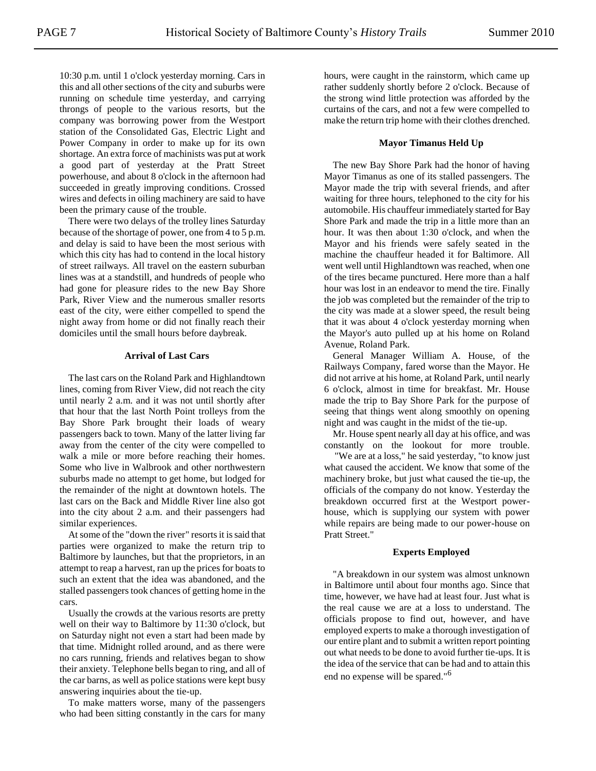10:30 p.m. until 1 o'clock yesterday morning. Cars in this and all other sections of the city and suburbs were running on schedule time yesterday, and carrying throngs of people to the various resorts, but the company was borrowing power from the Westport station of the Consolidated Gas, Electric Light and Power Company in order to make up for its own shortage. An extra force of machinists was put at work a good part of yesterday at the Pratt Street powerhouse, and about 8 o'clock in the afternoon had succeeded in greatly improving conditions. Crossed wires and defects in oiling machinery are said to have been the primary cause of the trouble.

There were two delays of the trolley lines Saturday because of the shortage of power, one from 4 to 5 p.m. and delay is said to have been the most serious with which this city has had to contend in the local history of street railways. All travel on the eastern suburban lines was at a standstill, and hundreds of people who had gone for pleasure rides to the new Bay Shore Park, River View and the numerous smaller resorts east of the city, were either compelled to spend the night away from home or did not finally reach their domiciles until the small hours before daybreak.

#### **Arrival of Last Cars**

The last cars on the Roland Park and Highlandtown lines, coming from River View, did not reach the city until nearly 2 a.m. and it was not until shortly after that hour that the last North Point trolleys from the Bay Shore Park brought their loads of weary passengers back to town. Many of the latter living far away from the center of the city were compelled to walk a mile or more before reaching their homes. Some who live in Walbrook and other northwestern suburbs made no attempt to get home, but lodged for the remainder of the night at downtown hotels. The last cars on the Back and Middle River line also got into the city about 2 a.m. and their passengers had similar experiences.

At some of the "down the river" resorts it is said that parties were organized to make the return trip to Baltimore by launches, but that the proprietors, in an attempt to reap a harvest, ran up the prices for boats to such an extent that the idea was abandoned, and the stalled passengers took chances of getting home in the cars.

Usually the crowds at the various resorts are pretty well on their way to Baltimore by 11:30 o'clock, but on Saturday night not even a start had been made by that time. Midnight rolled around, and as there were no cars running, friends and relatives began to show their anxiety. Telephone bells began to ring, and all of the car barns, as well as police stations were kept busy answering inquiries about the tie-up.

To make matters worse, many of the passengers who had been sitting constantly in the cars for many hours, were caught in the rainstorm, which came up rather suddenly shortly before 2 o'clock. Because of the strong wind little protection was afforded by the curtains of the cars, and not a few were compelled to make the return trip home with their clothes drenched.

## **Mayor Timanus Held Up**

The new Bay Shore Park had the honor of having Mayor Timanus as one of its stalled passengers. The Mayor made the trip with several friends, and after waiting for three hours, telephoned to the city for his automobile. His chauffeur immediately started for Bay Shore Park and made the trip in a little more than an hour. It was then about 1:30 o'clock, and when the Mayor and his friends were safely seated in the machine the chauffeur headed it for Baltimore. All went well until Highlandtown was reached, when one of the tires became punctured. Here more than a half hour was lost in an endeavor to mend the tire. Finally the job was completed but the remainder of the trip to the city was made at a slower speed, the result being that it was about 4 o'clock yesterday morning when the Mayor's auto pulled up at his home on Roland Avenue, Roland Park.

General Manager William A. House, of the Railways Company, fared worse than the Mayor. He did not arrive at his home, at Roland Park, until nearly 6 o'clock, almost in time for breakfast. Mr. House made the trip to Bay Shore Park for the purpose of seeing that things went along smoothly on opening night and was caught in the midst of the tie-up.

Mr. House spent nearly all day at his office, and was constantly on the lookout for more trouble.

"We are at a loss," he said yesterday, "to know just what caused the accident. We know that some of the machinery broke, but just what caused the tie-up, the officials of the company do not know. Yesterday the breakdown occurred first at the Westport powerhouse, which is supplying our system with power while repairs are being made to our power-house on Pratt Street."

## **Experts Employed**

"A breakdown in our system was almost unknown in Baltimore until about four months ago. Since that time, however, we have had at least four. Just what is the real cause we are at a loss to understand. The officials propose to find out, however, and have employed experts to make a thorough investigation of our entire plant and to submit a written report pointing out what needs to be done to avoid further tie-ups. It is the idea of the service that can be had and to attain this end no expense will be spared."<sup>6</sup>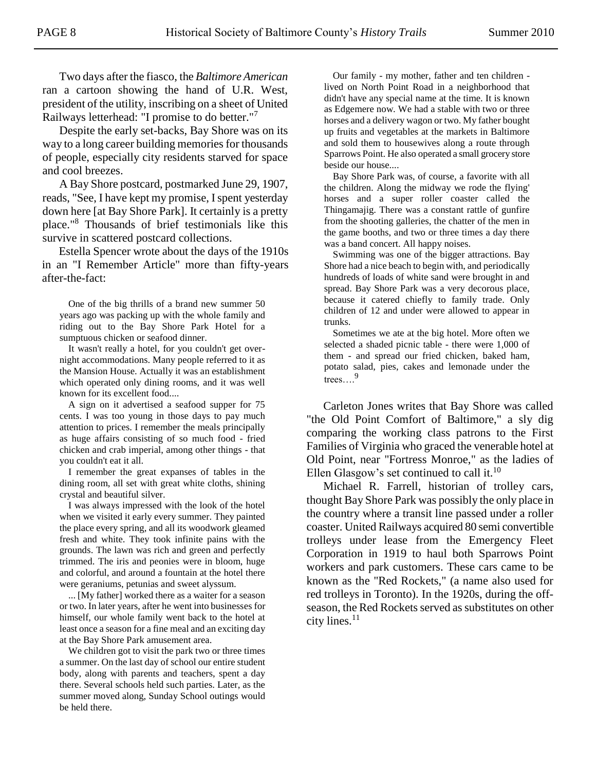Two days after the fiasco, the *Baltimore American* ran a cartoon showing the hand of U.R. West, president of the utility, inscribing on a sheet of United Railways letterhead: "I promise to do better."<sup>7</sup>

Despite the early set-backs, Bay Shore was on its way to a long career building memories for thousands of people, especially city residents starved for space and cool breezes.

A Bay Shore postcard, postmarked June 29, 1907, reads, "See, I have kept my promise, I spent yesterday down here [at Bay Shore Park]. It certainly is a pretty place."<sup>8</sup> Thousands of brief testimonials like this survive in scattered postcard collections.

Estella Spencer wrote about the days of the 1910s in an "I Remember Article" more than fifty-years after-the-fact:

One of the big thrills of a brand new summer 50 years ago was packing up with the whole family and riding out to the Bay Shore Park Hotel for a sumptuous chicken or seafood dinner.

It wasn't really a hotel, for you couldn't get overnight accommodations. Many people referred to it as the Mansion House. Actually it was an establishment which operated only dining rooms, and it was well known for its excellent food....

A sign on it advertised a seafood supper for 75 cents. I was too young in those days to pay much attention to prices. I remember the meals principally as huge affairs consisting of so much food - fried chicken and crab imperial, among other things - that you couldn't eat it all.

I remember the great expanses of tables in the dining room, all set with great white cloths, shining crystal and beautiful silver.

I was always impressed with the look of the hotel when we visited it early every summer. They painted the place every spring, and all its woodwork gleamed fresh and white. They took infinite pains with the grounds. The lawn was rich and green and perfectly trimmed. The iris and peonies were in bloom, huge and colorful, and around a fountain at the hotel there were geraniums, petunias and sweet alyssum.

... [My father] worked there as a waiter for a season or two. In later years, after he went into businesses for himself, our whole family went back to the hotel at least once a season for a fine meal and an exciting day at the Bay Shore Park amusement area.

We children got to visit the park two or three times a summer. On the last day of school our entire student body, along with parents and teachers, spent a day there. Several schools held such parties. Later, as the summer moved along, Sunday School outings would be held there.

Our family - my mother, father and ten children lived on North Point Road in a neighborhood that didn't have any special name at the time. It is known as Edgemere now. We had a stable with two or three horses and a delivery wagon or two. My father bought up fruits and vegetables at the markets in Baltimore and sold them to housewives along a route through Sparrows Point. He also operated a small grocery store beside our house....

Bay Shore Park was, of course, a favorite with all the children. Along the midway we rode the flying' horses and a super roller coaster called the Thingamajig. There was a constant rattle of gunfire from the shooting galleries, the chatter of the men in the game booths, and two or three times a day there was a band concert. All happy noises.

Swimming was one of the bigger attractions. Bay Shore had a nice beach to begin with, and periodically hundreds of loads of white sand were brought in and spread. Bay Shore Park was a very decorous place, because it catered chiefly to family trade. Only children of 12 and under were allowed to appear in trunks.

Sometimes we ate at the big hotel. More often we selected a shaded picnic table - there were 1,000 of them - and spread our fried chicken, baked ham, potato salad, pies, cakes and lemonade under the trees….<sup>9</sup>

Carleton Jones writes that Bay Shore was called "the Old Point Comfort of Baltimore," a sly dig comparing the working class patrons to the First Families of Virginia who graced the venerable hotel at Old Point, near "Fortress Monroe," as the ladies of Ellen Glasgow's set continued to call it. $10$ 

Michael R. Farrell, historian of trolley cars, thought Bay Shore Park was possibly the only place in the country where a transit line passed under a roller coaster. United Railways acquired 80 semi convertible trolleys under lease from the Emergency Fleet Corporation in 1919 to haul both Sparrows Point workers and park customers. These cars came to be known as the "Red Rockets," (a name also used for red trolleys in Toronto). In the 1920s, during the offseason, the Red Rockets served as substitutes on other city lines. $^{11}$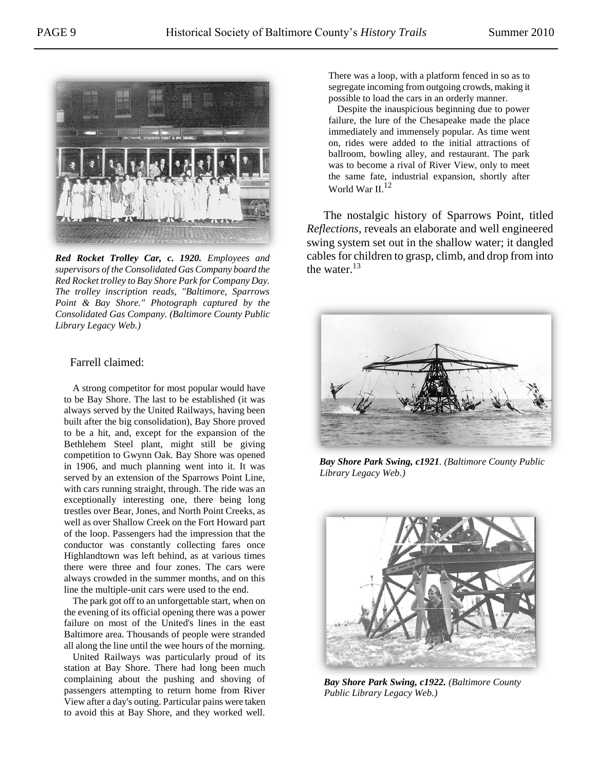

*Red Rocket Trolley Car, c. 1920. Employees and supervisors of the Consolidated Gas Company board the Red Rocket trolley to Bay Shore Park for Company Day. The trolley inscription reads, "Baltimore, Sparrows Point & Bay Shore." Photograph captured by the Consolidated Gas Company. (Baltimore County Public Library Legacy Web.)*

## Farrell claimed:

A strong competitor for most popular would have to be Bay Shore. The last to be established (it was always served by the United Railways, having been built after the big consolidation), Bay Shore proved to be a hit, and, except for the expansion of the Bethlehem Steel plant, might still be giving competition to Gwynn Oak. Bay Shore was opened in 1906, and much planning went into it. It was served by an extension of the Sparrows Point Line, with cars running straight, through. The ride was an exceptionally interesting one, there being long trestles over Bear, Jones, and North Point Creeks, as well as over Shallow Creek on the Fort Howard part of the loop. Passengers had the impression that the conductor was constantly collecting fares once Highlandtown was left behind, as at various times there were three and four zones. The cars were always crowded in the summer months, and on this line the multiple-unit cars were used to the end.

The park got off to an unforgettable start, when on the evening of its official opening there was a power failure on most of the United's lines in the east Baltimore area. Thousands of people were stranded all along the line until the wee hours of the morning.

United Railways was particularly proud of its station at Bay Shore. There had long been much complaining about the pushing and shoving of passengers attempting to return home from River View after a day's outing. Particular pains were taken to avoid this at Bay Shore, and they worked well. There was a loop, with a platform fenced in so as to segregate incoming from outgoing crowds, making it possible to load the cars in an orderly manner.

Despite the inauspicious beginning due to power failure, the lure of the Chesapeake made the place immediately and immensely popular. As time went on, rides were added to the initial attractions of ballroom, bowling alley, and restaurant. The park was to become a rival of River View, only to meet the same fate, industrial expansion, shortly after World War II.<sup>12</sup>

The nostalgic history of Sparrows Point, titled *Reflections*, reveals an elaborate and well engineered swing system set out in the shallow water; it dangled cables for children to grasp, climb, and drop from into the water.<sup>13</sup>



*Bay Shore Park Swing, c1921. (Baltimore County Public Library Legacy Web.)*



*Bay Shore Park Swing, c1922. (Baltimore County Public Library Legacy Web.)*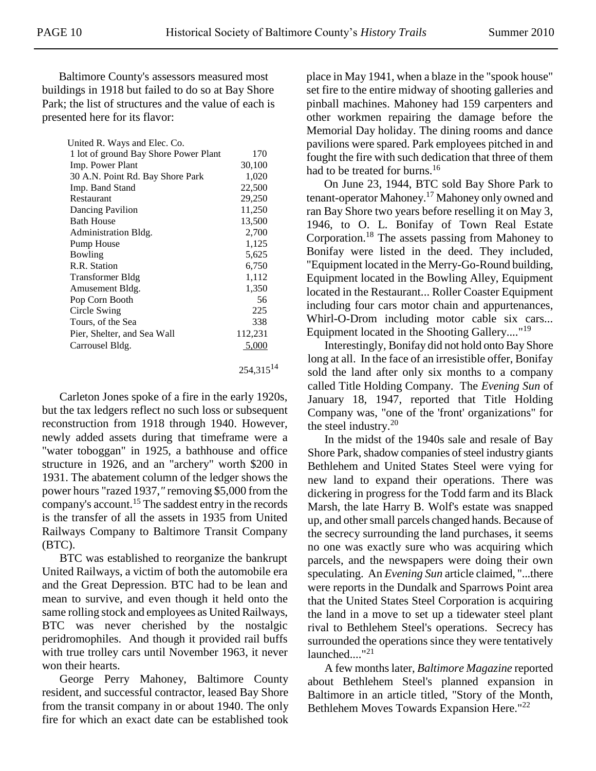Baltimore County's assessors measured most buildings in 1918 but failed to do so at Bay Shore Park; the list of structures and the value of each is presented here for its flavor:

| United R. Ways and Elec. Co.          |                |
|---------------------------------------|----------------|
| 1 lot of ground Bay Shore Power Plant | 170            |
| Imp. Power Plant                      | 30,100         |
| 30 A.N. Point Rd. Bay Shore Park      | 1,020          |
| Imp. Band Stand                       | 22,500         |
| Restaurant                            | 29,250         |
| Dancing Pavilion                      | 11,250         |
| <b>Bath House</b>                     | 13,500         |
| Administration Bldg.                  | 2,700          |
| Pump House                            | 1,125          |
| Bowling                               | 5,625          |
| R.R. Station                          | 6,750          |
| Transformer Bldg                      | 1,112          |
| Amusement Bldg.                       | 1,350          |
| Pop Corn Booth                        | 56             |
| Circle Swing                          | 225            |
| Tours, of the Sea                     | 338            |
| Pier, Shelter, and Sea Wall           | 112,231        |
| Carrousel Bldg.                       | 5,000          |
|                                       | $254.315^{14}$ |

Carleton Jones spoke of a fire in the early 1920s, but the tax ledgers reflect no such loss or subsequent reconstruction from 1918 through 1940. However, newly added assets during that timeframe were a "water toboggan" in 1925, a bathhouse and office structure in 1926, and an "archery" worth \$200 in 1931. The abatement column of the ledger shows the power hours "razed 1937,*"* removing \$5,000 from the company's account.<sup>15</sup> The saddest entry in the records is the transfer of all the assets in 1935 from United Railways Company to Baltimore Transit Company (BTC).

BTC was established to reorganize the bankrupt United Railways, a victim of both the automobile era and the Great Depression. BTC had to be lean and mean to survive, and even though it held onto the same rolling stock and employees as United Railways, BTC was never cherished by the nostalgic peridromophiles. And though it provided rail buffs with true trolley cars until November 1963, it never won their hearts.

George Perry Mahoney, Baltimore County resident, and successful contractor, leased Bay Shore from the transit company in or about 1940. The only fire for which an exact date can be established took place in May 1941, when a blaze in the "spook house" set fire to the entire midway of shooting galleries and pinball machines. Mahoney had 159 carpenters and other workmen repairing the damage before the Memorial Day holiday. The dining rooms and dance pavilions were spared. Park employees pitched in and fought the fire with such dedication that three of them had to be treated for burns.<sup>16</sup>

On June 23, 1944, BTC sold Bay Shore Park to tenant-operator Mahoney.<sup>17</sup> Mahoney only owned and ran Bay Shore two years before reselling it on May 3, 1946, to O. L. Bonifay of Town Real Estate Corporation.<sup>18</sup> The assets passing from Mahoney to Bonifay were listed in the deed. They included, "Equipment located in the Merry-Go-Round building, Equipment located in the Bowling Alley, Equipment located in the Restaurant... Roller Coaster Equipment including four cars motor chain and appurtenances, Whirl-O-Drom including motor cable six cars... Equipment located in the Shooting Gallery...."<sup>19</sup>

Interestingly, Bonifay did not hold onto Bay Shore long at all. In the face of an irresistible offer, Bonifay sold the land after only six months to a company called Title Holding Company. The *Evening Sun* of January 18, 1947, reported that Title Holding Company was, "one of the 'front' organizations" for the steel industry. $20$ 

In the midst of the 1940s sale and resale of Bay Shore Park, shadow companies of steel industry giants Bethlehem and United States Steel were vying for new land to expand their operations. There was dickering in progress for the Todd farm and its Black Marsh, the late Harry B. Wolf's estate was snapped up, and other small parcels changed hands. Because of the secrecy surrounding the land purchases, it seems no one was exactly sure who was acquiring which parcels, and the newspapers were doing their own speculating. An *Evening Sun* article claimed, "...there were reports in the Dundalk and Sparrows Point area that the United States Steel Corporation is acquiring the land in a move to set up a tidewater steel plant rival to Bethlehem Steel's operations. Secrecy has surrounded the operations since they were tentatively launched...."<sup>21</sup>

A few months later, *Baltimore Magazine* reported about Bethlehem Steel's planned expansion in Baltimore in an article titled, "Story of the Month, Bethlehem Moves Towards Expansion Here."<sup>22</sup>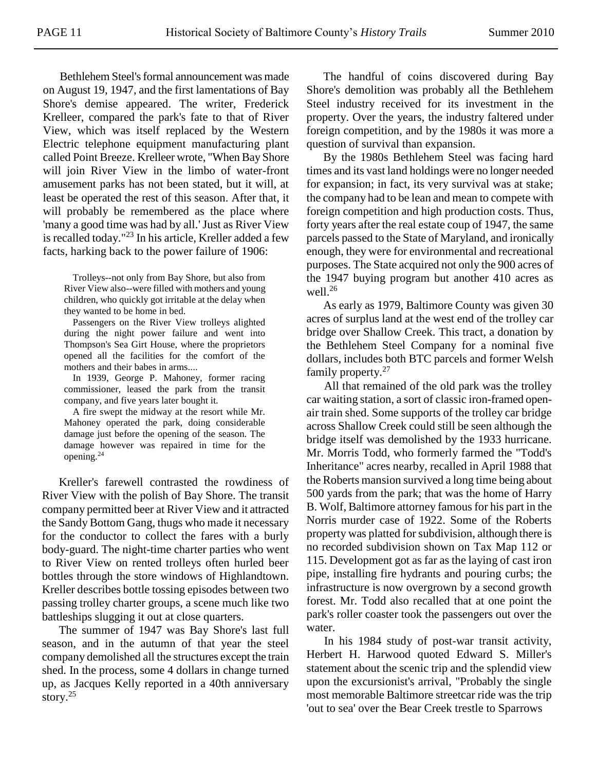Bethlehem Steel's formal announcement was made on August 19, 1947, and the first lamentations of Bay Shore's demise appeared. The writer, Frederick Krelleer, compared the park's fate to that of River View, which was itself replaced by the Western Electric telephone equipment manufacturing plant called Point Breeze. Krelleer wrote, "When Bay Shore will join River View in the limbo of water-front amusement parks has not been stated, but it will, at least be operated the rest of this season. After that, it will probably be remembered as the place where 'many a good time was had by all.'Just as River View is recalled today."<sup>23</sup> In his article, Kreller added a few facts, harking back to the power failure of 1906:

Trolleys--not only from Bay Shore, but also from River View also--were filled with mothers and young children, who quickly got irritable at the delay when they wanted to be home in bed.

Passengers on the River View trolleys alighted during the night power failure and went into Thompson's Sea Girt House, where the proprietors opened all the facilities for the comfort of the mothers and their babes in arms....

In 1939, George P. Mahoney, former racing commissioner, leased the park from the transit company, and five years later bought it.

A fire swept the midway at the resort while Mr. Mahoney operated the park, doing considerable damage just before the opening of the season. The damage however was repaired in time for the opening.<sup>24</sup>

Kreller's farewell contrasted the rowdiness of River View with the polish of Bay Shore. The transit company permitted beer at River View and it attracted the Sandy Bottom Gang, thugs who made it necessary for the conductor to collect the fares with a burly body-guard. The night-time charter parties who went to River View on rented trolleys often hurled beer bottles through the store windows of Highlandtown. Kreller describes bottle tossing episodes between two passing trolley charter groups, a scene much like two battleships slugging it out at close quarters.

The summer of 1947 was Bay Shore's last full season, and in the autumn of that year the steel company demolished all the structures except the train shed. In the process, some 4 dollars in change turned up, as Jacques Kelly reported in a 40th anniversary story. 25

The handful of coins discovered during Bay Shore's demolition was probably all the Bethlehem Steel industry received for its investment in the property. Over the years, the industry faltered under foreign competition, and by the 1980s it was more a question of survival than expansion.

By the 1980s Bethlehem Steel was facing hard times and its vast land holdings were no longer needed for expansion; in fact, its very survival was at stake; the company had to be lean and mean to compete with foreign competition and high production costs. Thus, forty years after the real estate coup of 1947, the same parcels passed to the State of Maryland, and ironically enough, they were for environmental and recreational purposes. The State acquired not only the 900 acres of the 1947 buying program but another 410 acres as well.<sup>26</sup>

As early as 1979, Baltimore County was given 30 acres of surplus land at the west end of the trolley car bridge over Shallow Creek. This tract, a donation by the Bethlehem Steel Company for a nominal five dollars, includes both BTC parcels and former Welsh family property.<sup>27</sup>

All that remained of the old park was the trolley car waiting station, a sort of classic iron-framed openair train shed. Some supports of the trolley car bridge across Shallow Creek could still be seen although the bridge itself was demolished by the 1933 hurricane. Mr. Morris Todd, who formerly farmed the "Todd's Inheritance" acres nearby, recalled in April 1988 that the Roberts mansion survived a long time being about 500 yards from the park; that was the home of Harry B. Wolf, Baltimore attorney famous for his part in the Norris murder case of 1922. Some of the Roberts property was platted for subdivision, although there is no recorded subdivision shown on Tax Map 112 or 115. Development got as far as the laying of cast iron pipe, installing fire hydrants and pouring curbs; the infrastructure is now overgrown by a second growth forest. Mr. Todd also recalled that at one point the park's roller coaster took the passengers out over the water.

In his 1984 study of post-war transit activity, Herbert H. Harwood quoted Edward S. Miller's statement about the scenic trip and the splendid view upon the excursionist's arrival, "Probably the single most memorable Baltimore streetcar ride was the trip 'out to sea' over the Bear Creek trestle to Sparrows